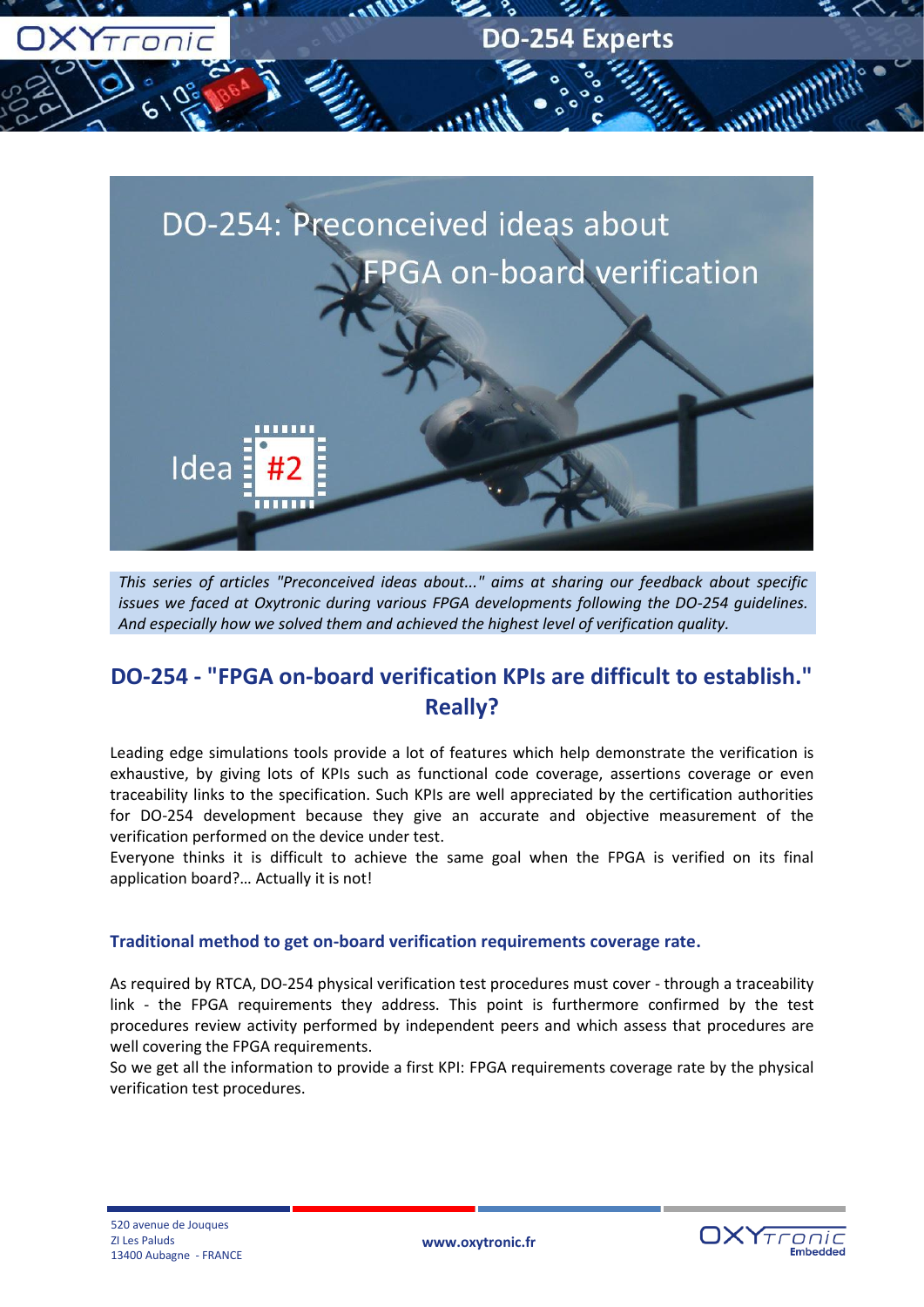



*This series of articles "Preconceived ideas about..." aims at sharing our feedback about specific issues we faced at Oxytronic during various FPGA developments following the DO-254 guidelines. And especially how we solved them and achieved the highest level of verification quality.*

# **DO-254 - "FPGA on-board verification KPIs are difficult to establish." Really?**

Leading edge simulations tools provide a lot of features which help demonstrate the verification is exhaustive, by giving lots of KPIs such as functional code coverage, assertions coverage or even traceability links to the specification. Such KPIs are well appreciated by the certification authorities for DO-254 development because they give an accurate and objective measurement of the verification performed on the device under test.

Everyone thinks it is difficult to achieve the same goal when the FPGA is verified on its final application board?… Actually it is not!

## **Traditional method to get on-board verification requirements coverage rate.**

As required by RTCA, DO-254 physical verification test procedures must cover - through a traceability link - the FPGA requirements they address. This point is furthermore confirmed by the test procedures review activity performed by independent peers and which assess that procedures are well covering the FPGA requirements.

So we get all the information to provide a first KPI: FPGA requirements coverage rate by the physical verification test procedures.